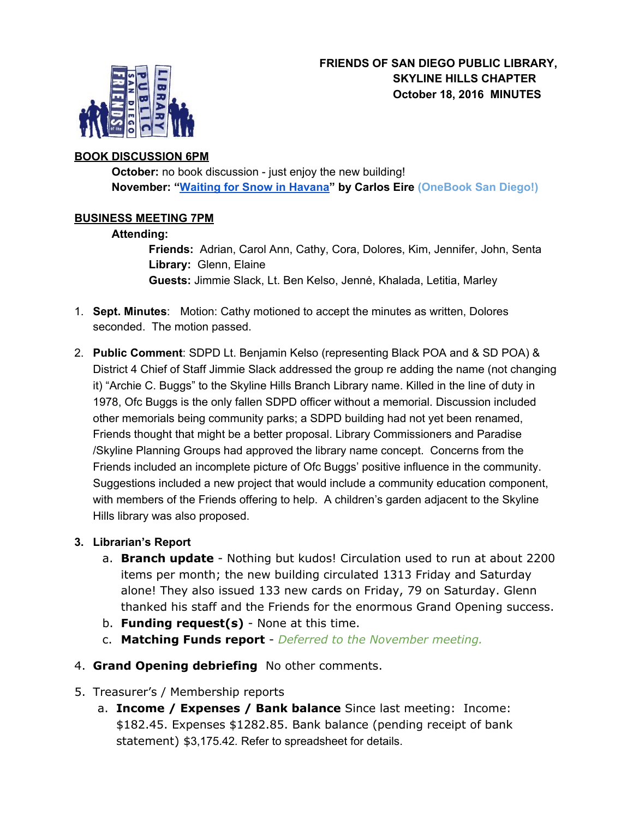

## **BOOK DISCUSSION 6PM**

**October:** no book discussion - just enjoy the new building! **November: "[Waiting](https://sandiego.bibliocommons.com/item/show/1461276104_waiting_for_snow_in_havana) for Snow in Havana" by Carlos Eire ( OneBook San Diego!)**

## **BUSINESS MEETING 7PM**

#### **Attending:**

**Friends:** Adrian, Carol Ann, Cathy, Cora, Dolores, Kim, Jennifer, John, Senta **Library:**  Glenn, Elaine **Guests:** Jimmie Slack, Lt. Ben Kelso, Jennė, Khalada, Letitia, Marley

- 1. **Sept. Minutes**: Motion: Cathy motioned to accept the minutes as written, Dolores seconded. The motion passed.
- 2. **Public Comment**: SDPD Lt. Benjamin Kelso (representing Black POA and & SD POA) & District 4 Chief of Staff Jimmie Slack addressed the group re adding the name (not changing it) "Archie C. Buggs" to the Skyline Hills Branch Library name. Killed in the line of duty in 1978, Ofc Buggs is the only fallen SDPD officer without a memorial. Discussion included other memorials being community parks; a SDPD building had not yet been renamed, Friends thought that might be a better proposal. Library Commissioners and Paradise /Skyline Planning Groups had approved the library name concept. Concerns from the Friends included an incomplete picture of Ofc Buggs' positive influence in the community. Suggestions included a new project that would include a community education component, with members of the Friends offering to help. A children's garden adjacent to the Skyline Hills library was also proposed.

#### **3. Librarian's Report**

- a. **Branch update** Nothing but kudos! Circulation used to run at about 2200 items per month; the new building circulated 1313 Friday and Saturday alone! They also issued 133 new cards on Friday, 79 on Saturday. Glenn thanked his staff and the Friends for the enormous Grand Opening success.
- b. **Funding request(s)** None at this time.
- c. **Matching Funds report** *Deferred to the November meeting.*
- 4. **Grand Opening debriefing** No other comments.
- 5. Treasurer's / Membership reports
	- a. **Income / Expenses / Bank balance** Since last meeting: Income: \$182.45. Expenses \$1282.85. Bank balance (pending receipt of bank statement) \$3,175.42*.* Refer to spreadsheet for details.